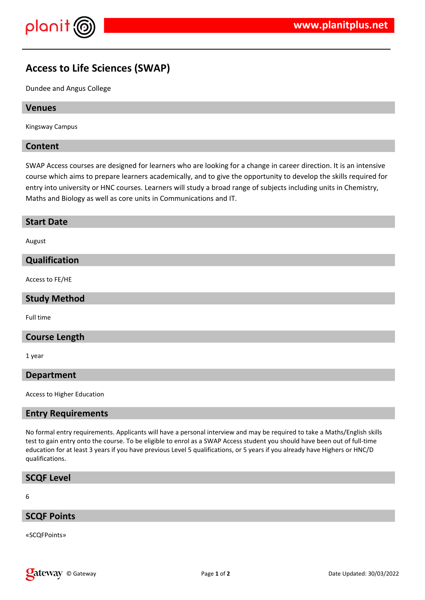

# **Access to Life Sciences (SWAP)**

Dundee and Angus College

#### **Venues**

Kingsway Campus

## **Content**

SWAP Access courses are designed for learners who are looking for a change in career direction. It is an intensive course which aims to prepare learners academically, and to give the opportunity to develop the skills required for entry into university or HNC courses. Learners will study a broad range of subjects including units in Chemistry, Maths and Biology as well as core units in Communications and IT.

#### **Start Date**

August

#### **Qualification**

Access to FE/HE

#### **Study Method**

Full time

#### **Course Length**

1 year

#### **Department**

Access to Higher Education

#### **Entry Requirements**

No formal entry requirements. Applicants will have a personal interview and may be required to take a Maths/English skills test to gain entry onto the course. To be eligible to enrol as a SWAP Access student you should have been out of full-time education for at least 3 years if you have previous Level 5 qualifications, or 5 years if you already have Highers or HNC/D qualifications.

# **SCQF Level**

6

#### **SCQF Points**

«SCQFPoints»